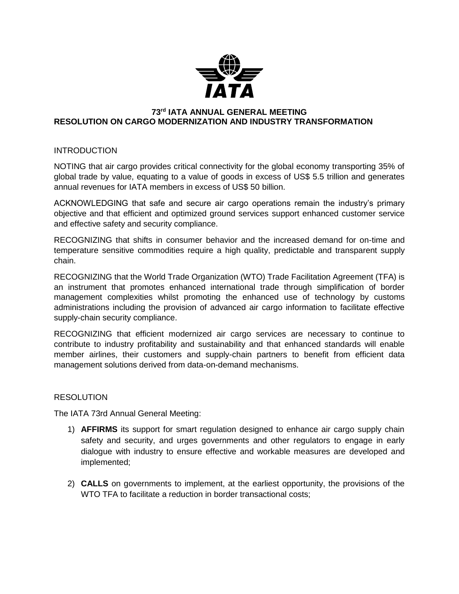

## **73 rd IATA ANNUAL GENERAL MEETING RESOLUTION ON CARGO MODERNIZATION AND INDUSTRY TRANSFORMATION**

## **INTRODUCTION**

NOTING that air cargo provides critical connectivity for the global economy transporting 35% of global trade by value, equating to a value of goods in excess of US\$ 5.5 trillion and generates annual revenues for IATA members in excess of US\$ 50 billion.

ACKNOWLEDGING that safe and secure air cargo operations remain the industry's primary objective and that efficient and optimized ground services support enhanced customer service and effective safety and security compliance.

RECOGNIZING that shifts in consumer behavior and the increased demand for on-time and temperature sensitive commodities require a high quality, predictable and transparent supply chain.

RECOGNIZING that the World Trade Organization (WTO) Trade Facilitation Agreement (TFA) is an instrument that promotes enhanced international trade through simplification of border management complexities whilst promoting the enhanced use of technology by customs administrations including the provision of advanced air cargo information to facilitate effective supply-chain security compliance.

RECOGNIZING that efficient modernized air cargo services are necessary to continue to contribute to industry profitability and sustainability and that enhanced standards will enable member airlines, their customers and supply-chain partners to benefit from efficient data management solutions derived from data-on-demand mechanisms.

## **RESOLUTION**

The IATA 73rd Annual General Meeting:

- 1) **AFFIRMS** its support for smart regulation designed to enhance air cargo supply chain safety and security, and urges governments and other regulators to engage in early dialogue with industry to ensure effective and workable measures are developed and implemented;
- 2) **CALLS** on governments to implement, at the earliest opportunity, the provisions of the WTO TFA to facilitate a reduction in border transactional costs;